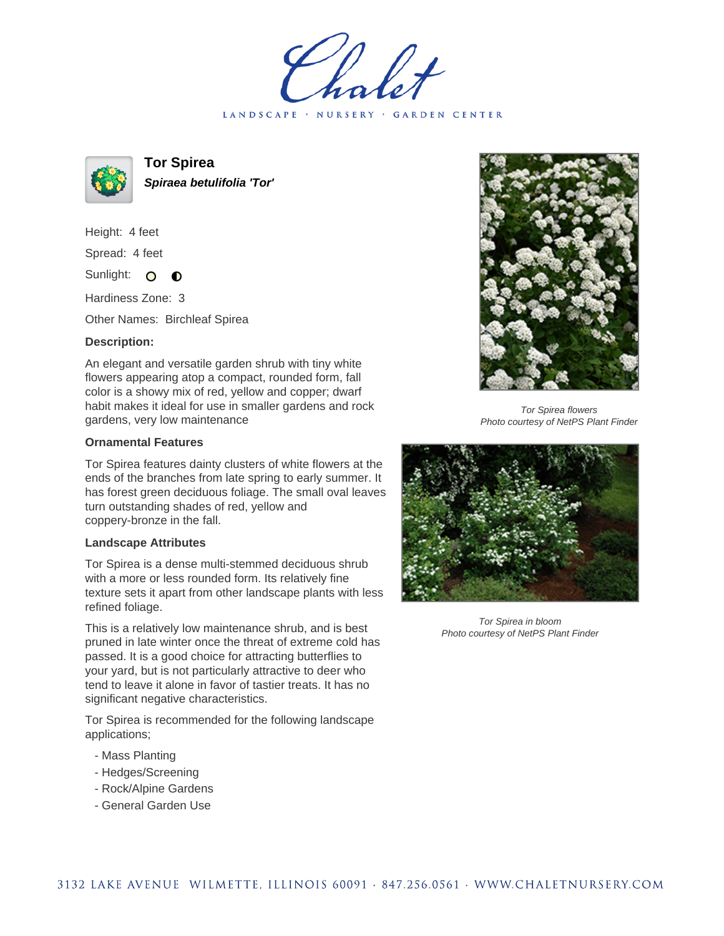LANDSCAPE · NURSERY · GARDEN CENTER



**Tor Spirea Spiraea betulifolia 'Tor'**

Height: 4 feet Spread: 4 feet Sunlight: O  $\bullet$ 

Hardiness Zone: 3

Other Names: Birchleaf Spirea

## **Description:**

An elegant and versatile garden shrub with tiny white flowers appearing atop a compact, rounded form, fall color is a showy mix of red, yellow and copper; dwarf habit makes it ideal for use in smaller gardens and rock gardens, very low maintenance

## **Ornamental Features**

Tor Spirea features dainty clusters of white flowers at the ends of the branches from late spring to early summer. It has forest green deciduous foliage. The small oval leaves turn outstanding shades of red, yellow and coppery-bronze in the fall.

## **Landscape Attributes**

Tor Spirea is a dense multi-stemmed deciduous shrub with a more or less rounded form. Its relatively fine texture sets it apart from other landscape plants with less refined foliage.

This is a relatively low maintenance shrub, and is best pruned in late winter once the threat of extreme cold has passed. It is a good choice for attracting butterflies to your yard, but is not particularly attractive to deer who tend to leave it alone in favor of tastier treats. It has no significant negative characteristics.

Tor Spirea is recommended for the following landscape applications;

- Mass Planting
- Hedges/Screening
- Rock/Alpine Gardens
- General Garden Use



Tor Spirea flowers Photo courtesy of NetPS Plant Finder



Tor Spirea in bloom Photo courtesy of NetPS Plant Finder